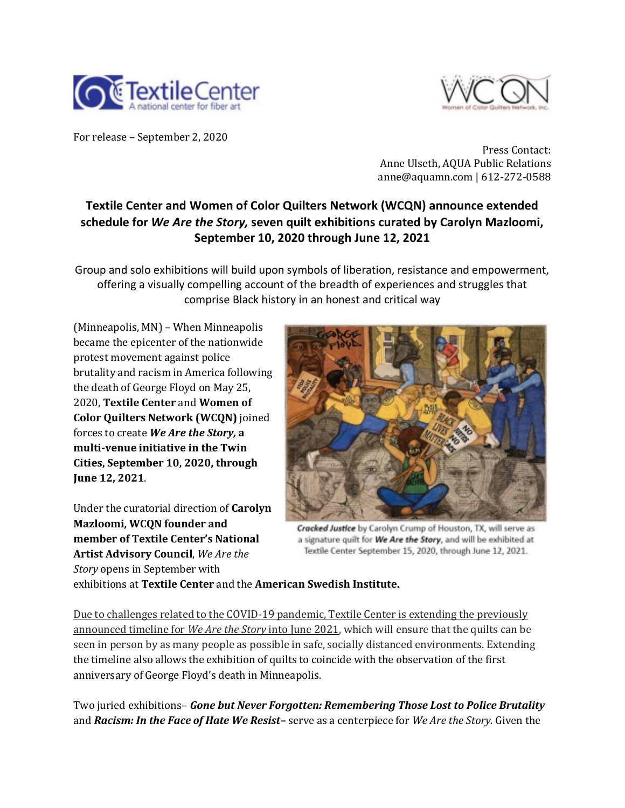



For release - September 2, 2020

Press Contact: Anne Ulseth, AQUA Public Relations anne@aquamn.com | 612-272-0588

# **Textile Center and Women of Color Quilters Network (WCQN) announce extended schedule for** *We Are the Story,* **seven quilt exhibitions curated by Carolyn Mazloomi, September 10, 2020 through June 12, 2021**

Group and solo exhibitions will build upon symbols of liberation, resistance and empowerment, offering a visually compelling account of the breadth of experiences and struggles that comprise Black history in an honest and critical way

(Minneapolis, MN) - When Minneapolis became the epicenter of the nationwide protest movement against police brutality and racism in America following the death of George Floyd on May 25, 2020, Textile Center and Women of **Color Quilters Network (WCQN)** joined forces to create **We Are the Story**, a multi-venue initiative in the Twin **Cities, September 10, 2020, through June 12, 2021**. 

Under the curatorial direction of **Carolyn Mazloomi, WCON founder and member of Textile Center's National Artist Advisory Council**, We Are the *Story* opens in September with



Cracked Justice by Carolyn Crump of Houston, TX, will serve as a signature quilt for We Are the Story, and will be exhibited at Textile Center September 15, 2020, through June 12, 2021.

exhibitions at **Textile Center** and the **American Swedish Institute.**

Due to challenges related to the COVID-19 pandemic, Textile Center is extending the previously announced timeline for *We Are the Story* into June 2021, which will ensure that the quilts can be seen in person by as many people as possible in safe, socially distanced environments. Extending the timeline also allows the exhibition of quilts to coincide with the observation of the first anniversary of George Floyd's death in Minneapolis.

Two juried exhibitions- **Gone but Never Forgotten: Remembering Those Lost to Police Brutality** and *Racism: In the Face of Hate We Resist*– serve as a centerpiece for *We Are the Story.* Given the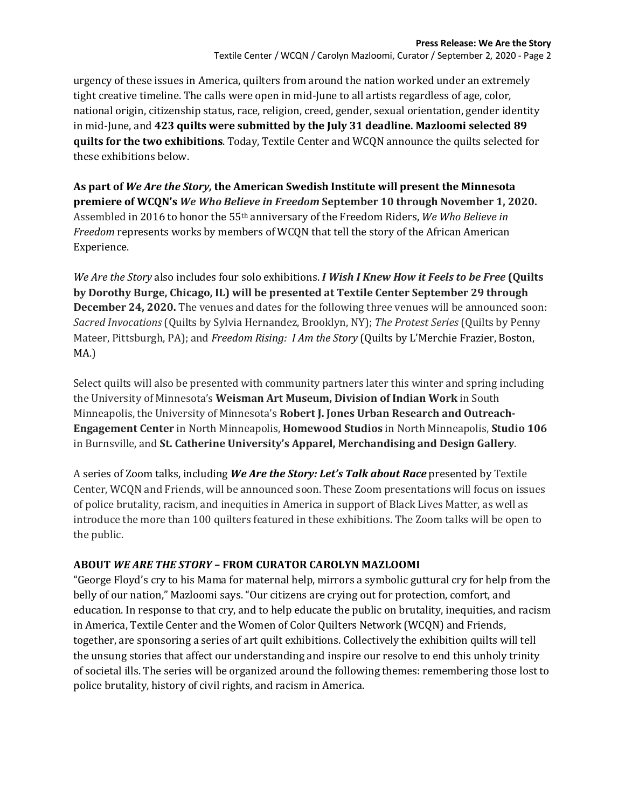urgency of these issues in America, quilters from around the nation worked under an extremely tight creative timeline. The calls were open in mid-June to all artists regardless of age, color, national origin, citizenship status, race, religion, creed, gender, sexual orientation, gender identity in mid-June, and 423 quilts were submitted by the July 31 deadline. Mazloomi selected 89 **quilts for the two exhibitions**. Today, Textile Center and WCQN announce the quilts selected for these exhibitions below.

As part of We Are the Story, the American Swedish Institute will present the Minnesota **premiere of WCQN's We Who Believe in Freedom September 10 through November 1, 2020.** Assembled in 2016 to honor the 55<sup>th</sup> anniversary of the Freedom Riders, *We Who Believe in Freedom* represents works by members of WCQN that tell the story of the African American Experience.

*We Are the Story* also includes four solo exhibitions. *I Wish I Knew How it Feels to be Free* (Quilts by Dorothy Burge, Chicago, IL) will be presented at Textile Center September 29 through **December 24, 2020.** The venues and dates for the following three venues will be announced soon: *Sacred Invocations* (Quilts by Sylvia Hernandez, Brooklyn, NY); *The Protest Series* (Quilts by Penny Mateer, Pittsburgh, PA); and *Freedom Rising: I Am the Story* (Quilts by L'Merchie Frazier, Boston, MA.)

Select quilts will also be presented with community partners later this winter and spring including the University of Minnesota's Weisman Art Museum, Division of Indian Work in South Minneapolis, the University of Minnesota's Robert J. Jones Urban Research and Outreach-**Engagement Center** in North Minneapolis, **Homewood Studios** in North Minneapolis, **Studio 106** in Burnsville, and St. Catherine University's Apparel, Merchandising and Design Gallery.

A series of Zoom talks, including *We Are the Story: Let's Talk about Race* presented by Textile Center, WCQN and Friends, will be announced soon. These Zoom presentations will focus on issues of police brutality, racism, and inequities in America in support of Black Lives Matter, as well as introduce the more than 100 quilters featured in these exhibitions. The Zoom talks will be open to the public.

## **ABOUT WE ARE THE STORY - FROM CURATOR CAROLYN MAZLOOMI**

"George Floyd's cry to his Mama for maternal help, mirrors a symbolic guttural cry for help from the belly of our nation," Mazloomi says. "Our citizens are crying out for protection, comfort, and education. In response to that cry, and to help educate the public on brutality, inequities, and racism in America, Textile Center and the Women of Color Quilters Network (WCQN) and Friends, together, are sponsoring a series of art quilt exhibitions. Collectively the exhibition quilts will tell the unsung stories that affect our understanding and inspire our resolve to end this unholy trinity of societal ills. The series will be organized around the following themes: remembering those lost to police brutality, history of civil rights, and racism in America.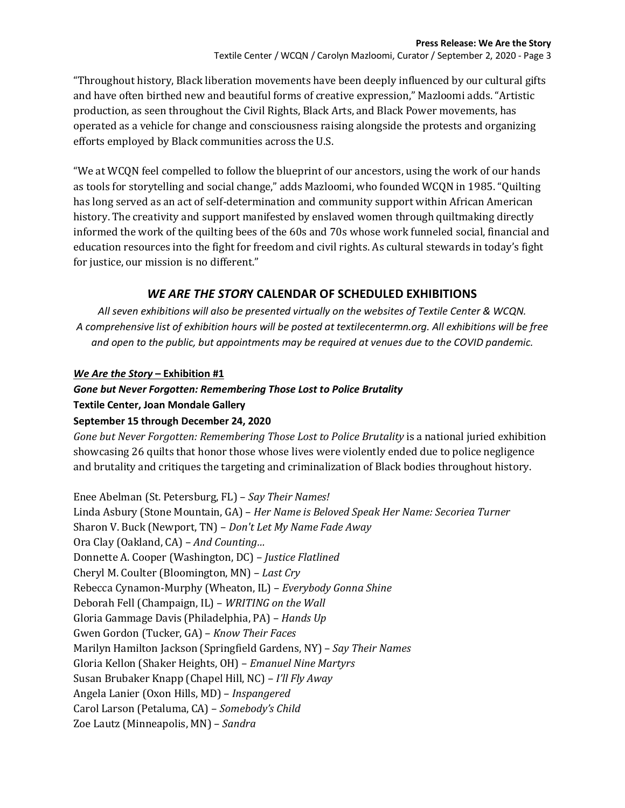Textile Center / WCQN / Carolyn Mazloomi, Curator / September 2, 2020 - Page 3

"Throughout history, Black liberation movements have been deeply influenced by our cultural gifts and have often birthed new and beautiful forms of creative expression," Mazloomi adds. "Artistic production, as seen throughout the Civil Rights, Black Arts, and Black Power movements, has operated as a vehicle for change and consciousness raising alongside the protests and organizing efforts employed by Black communities across the U.S.

"We at WCQN feel compelled to follow the blueprint of our ancestors, using the work of our hands as tools for storytelling and social change," adds Mazloomi, who founded WCQN in 1985. "Quilting has long served as an act of self-determination and community support within African American history. The creativity and support manifested by enslaved women through quiltmaking directly informed the work of the quilting bees of the 60s and 70s whose work funneled social, financial and education resources into the fight for freedom and civil rights. As cultural stewards in today's fight for justice, our mission is no different."

## *WE ARE THE STOR***Y CALENDAR OF SCHEDULED EXHIBITIONS**

*All seven exhibitions will also be presented virtually on the websites of Textile Center & WCQN. A comprehensive list of exhibition hours will be posted at textilecentermn.org. All exhibitions will be free and open to the public, but appointments may be required at venues due to the COVID pandemic.*

## *We Are the Story* **– Exhibition #1**

### *Gone but Never Forgotten: Remembering Those Lost to Police Brutality* **Textile Center, Joan Mondale Gallery**

# **September 15 through December 24, 2020**

*Gone but Never Forgotten: Remembering Those Lost to Police Brutality* is a national juried exhibition showcasing 26 quilts that honor those whose lives were violently ended due to police negligence and brutality and critiques the targeting and criminalization of Black bodies throughout history.

Enee Abelman (St. Petersburg, FL) - Say Their Names! Linda Asbury (Stone Mountain, GA) – *Her Name is Beloved Speak Her Name: Secoriea Turner* Sharon V. Buck (Newport, TN) - *Don't Let My Name Fade Away* Ora Clay (Oakland, CA) – *And Counting...* Donnette A. Cooper (Washington, DC) - *Justice Flatlined* Cheryl M. Coulter (Bloomington, MN) – Last Cry Rebecca Cynamon-Murphy (Wheaton, IL) – *Everybody Gonna Shine* Deborah Fell (Champaign, IL) - *WRITING* on the Wall Gloria Gammage Davis (Philadelphia, PA) – *Hands Up* Gwen Gordon (Tucker, GA) - *Know Their Faces* Marilyn Hamilton Jackson (Springfield Gardens, NY) – *Say Their Names* Gloria Kellon (Shaker Heights, OH) – *Emanuel Nine Martyrs* Susan Brubaker Knapp (Chapel Hill, NC) – *I'll Fly Away* Angela Lanier (Oxon Hills, MD) - *Inspangered* Carol Larson (Petaluma, CA) - Somebody's Child Zoe Lautz (Minneapolis, MN) - Sandra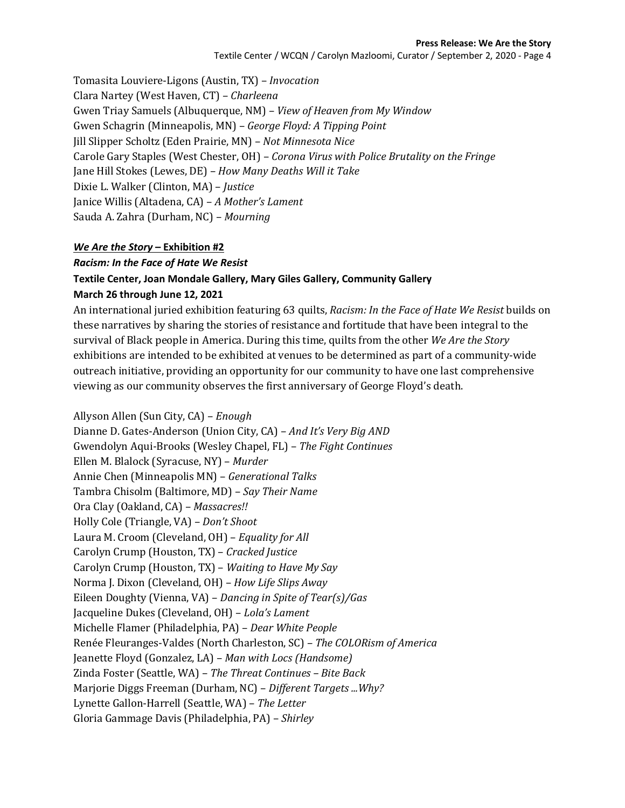#### **Press Release: We Are the Story**

Textile Center / WCQN / Carolyn Mazloomi, Curator / September 2, 2020 - Page 4

Tomasita Louviere-Ligons (Austin, TX) – *Invocation* Clara Nartey (West Haven, CT) - Charleena Gwen Triay Samuels (Albuquerque, NM) - View of Heaven from My Window Gwen Schagrin (Minneapolis, MN) – *George Floyd: A Tipping Point* Jill Slipper Scholtz (Eden Prairie, MN) – *Not Minnesota Nice* Carole Gary Staples (West Chester, OH) – *Corona Virus with Police Brutality on the Fringe* Jane Hill Stokes (Lewes, DE) – *How Many Deaths Will it Take* Dixie L. Walker (Clinton, MA) - *Justice* Janice Willis (Altadena, CA) – A Mother's Lament Sauda A. Zahra (Durham, NC) - Mourning

#### *We Are the Story* **– Exhibition #2**

#### *Racism: In the Face of Hate We Resist*

## **Textile Center, Joan Mondale Gallery, Mary Giles Gallery, Community Gallery March 26 through June 12, 2021**

An international juried exhibition featuring 63 quilts, *Racism: In the Face of Hate We Resist* builds on these narratives by sharing the stories of resistance and fortitude that have been integral to the survival of Black people in America. During this time, quilts from the other *We Are the Story* exhibitions are intended to be exhibited at venues to be determined as part of a community-wide outreach initiative, providing an opportunity for our community to have one last comprehensive viewing as our community observes the first anniversary of George Floyd's death.

Allyson Allen (Sun City, CA) – *Enough* Dianne D. Gates-Anderson (Union City, CA) – *And It's Very Big AND* Gwendolyn Aqui-Brooks (Wesley Chapel, FL) – *The Fight Continues* Ellen M. Blalock (Syracuse, NY) – *Murder* Annie Chen (Minneapolis MN) - Generational Talks Tambra Chisolm (Baltimore, MD) - Say Their Name Ora Clay (Oakland, CA) - *Massacres!!* Holly Cole (Triangle, VA) - *Don't Shoot* Laura M. Croom (Cleveland, OH) – *Equality for All* Carolyn Crump (Houston, TX) - Cracked Justice Carolyn Crump (Houston, TX) - *Waiting to Have My Say* Norma J. Dixon (Cleveland, OH) - *How Life Slips Away* Eileen Doughty (Vienna, VA) - *Dancing in Spite of Tear(s)/Gas* Jacqueline Dukes (Cleveland, OH) – *Lola's Lament* Michelle Flamer (Philadelphia, PA) - Dear White People Renée Fleuranges-Valdes (North Charleston, SC) – *The COLORism of America* Jeanette Floyd (Gonzalez, LA) – *Man with Locs (Handsome)* Zinda Foster (Seattle, WA) - The Threat Continues - Bite Back Marjorie Diggs Freeman (Durham, NC) – *Different Targets ...Why?* Lynette Gallon-Harrell (Seattle, WA) - The Letter Gloria Gammage Davis (Philadelphia, PA) – *Shirley*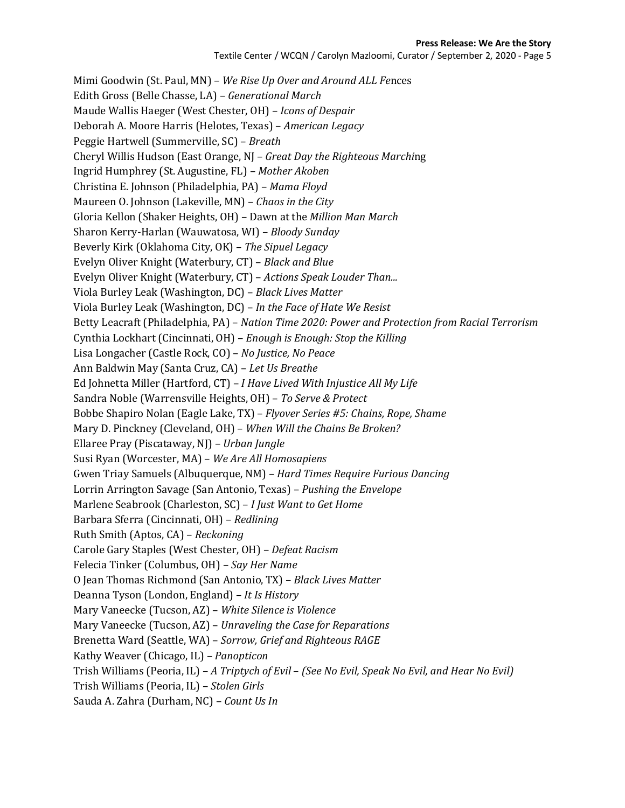#### **Press Release: We Are the Story**

Mimi Goodwin (St. Paul, MN) – We Rise Up Over and Around ALL Fences Edith Gross (Belle Chasse, LA) - Generational March Maude Wallis Haeger (West Chester, OH) – *Icons of Despair* Deborah A. Moore Harris (Helotes, Texas) – *American Legacy* Peggie Hartwell (Summerville, SC) – *Breath* Cheryl Willis Hudson (East Orange, NJ – *Great Day the Righteous Marching* Ingrid Humphrey (St. Augustine, FL) – *Mother Akoben* Christina E. Johnson (Philadelphia, PA) – *Mama Floyd* Maureen O. Johnson (Lakeville, MN) - *Chaos in the City* Gloria Kellon (Shaker Heights, OH) - Dawn at the *Million Man March* Sharon Kerry-Harlan (Wauwatosa, WI) - *Bloody Sunday* Beverly Kirk (Oklahoma City, OK) - The Sipuel Legacy Evelyn Oliver Knight (Waterbury, CT) – *Black and Blue* Evelyn Oliver Knight (Waterbury, CT) - Actions Speak Louder Than... Viola Burley Leak (Washington, DC) – *Black Lives Matter* Viola Burley Leak (Washington, DC) - *In the Face of Hate We Resist* Betty Leacraft (Philadelphia, PA) – *Nation Time 2020: Power and Protection from Racial Terrorism* Cynthia Lockhart (Cincinnati, OH) – *Enough is Enough: Stop the Killing* Lisa Longacher (Castle Rock, CO) - *No Justice, No Peace* Ann Baldwin May (Santa Cruz, CA) – Let Us Breathe Ed Johnetta Miller (Hartford, CT) - *I Have Lived With Injustice All My Life* Sandra Noble (Warrensville Heights, OH) - To Serve & Protect Bobbe Shapiro Nolan (Eagle Lake, TX) – *Flyover Series #5: Chains, Rope, Shame* Mary D. Pinckney (Cleveland, OH) – *When Will the Chains Be Broken?* Ellaree Pray (Piscataway, NJ) – Urban Jungle Susi Ryan (Worcester, MA) - We Are All Homosapiens Gwen Triay Samuels (Albuquerque, NM) - *Hard Times Require Furious Dancing* Lorrin Arrington Savage (San Antonio, Texas) – *Pushing the Envelope* Marlene Seabrook (Charleston, SC) - *I Just Want to Get Home* Barbara Sferra (Cincinnati, OH) - *Redlining* Ruth Smith (Aptos, CA) - *Reckoning* Carole Gary Staples (West Chester, OH) - Defeat Racism Felecia Tinker (Columbus, OH) - Say Her Name O Jean Thomas Richmond (San Antonio, TX) – *Black Lives Matter* Deanna Tyson (London, England) – *It Is History* Mary Vaneecke (Tucson, AZ) - White Silence is Violence Mary Vaneecke (Tucson, AZ) – *Unraveling the Case for Reparations* Brenetta Ward (Seattle, WA) - Sorrow, Grief and Righteous RAGE Kathy Weaver (Chicago, IL) - Panopticon Trish Williams (Peoria, IL) – *A Triptych of Evil* – *(See No Evil, Speak No Evil, and Hear No Evil)* Trish Williams (Peoria, IL) – *Stolen Girls* Sauda A. Zahra (Durham, NC) - Count Us In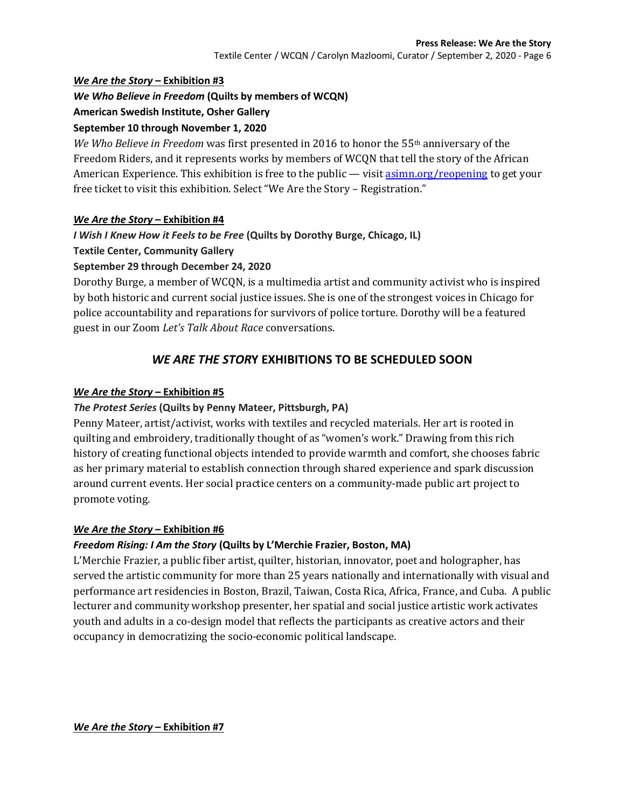### *We Are the Story* **– Exhibition #3**

## *We Who Believe in Freedom* **(Quilts by members of WCQN)**

## **American Swedish Institute, Osher Gallery**

## **September 10 through November 1, 2020**

*We Who Believe in Freedom* was first presented in 2016 to honor the 55<sup>th</sup> anniversary of the Freedom Riders, and it represents works by members of WCON that tell the story of the African American Experience. This exhibition is free to the public — visit  $\frac{asimn.org/reopening$  to get your free ticket to visit this exhibition. Select "We Are the Story - Registration."

### *We Are the Story* **– Exhibition #4**

## *I Wish I Knew How it Feels to be Free* **(Quilts by Dorothy Burge, Chicago, IL)**

### **Textile Center, Community Gallery**

## **September 29 through December 24, 2020**

Dorothy Burge, a member of WCQN, is a multimedia artist and community activist who is inspired by both historic and current social justice issues. She is one of the strongest voices in Chicago for police accountability and reparations for survivors of police torture. Dorothy will be a featured guest in our Zoom *Let's Talk About Race* conversations.

# *WE ARE THE STOR***Y EXHIBITIONS TO BE SCHEDULED SOON**

## *We Are the Story* **– Exhibition #5**

## *The Protest Series* **(Quilts by Penny Mateer, Pittsburgh, PA)**

Penny Mateer, artist/activist, works with textiles and recycled materials. Her art is rooted in quilting and embroidery, traditionally thought of as "women's work." Drawing from this rich history of creating functional objects intended to provide warmth and comfort, she chooses fabric as her primary material to establish connection through shared experience and spark discussion around current events. Her social practice centers on a community-made public art project to promote voting.

### *We Are the Story* **– Exhibition #6**

## *Freedom Rising: I Am the Story* **(Quilts by L'Merchie Frazier, Boston, MA)**

L'Merchie Frazier, a public fiber artist, quilter, historian, innovator, poet and holographer, has served the artistic community for more than 25 years nationally and internationally with visual and performance art residencies in Boston, Brazil, Taiwan, Costa Rica, Africa, France, and Cuba. A public lecturer and community workshop presenter, her spatial and social justice artistic work activates youth and adults in a co-design model that reflects the participants as creative actors and their occupancy in democratizing the socio-economic political landscape.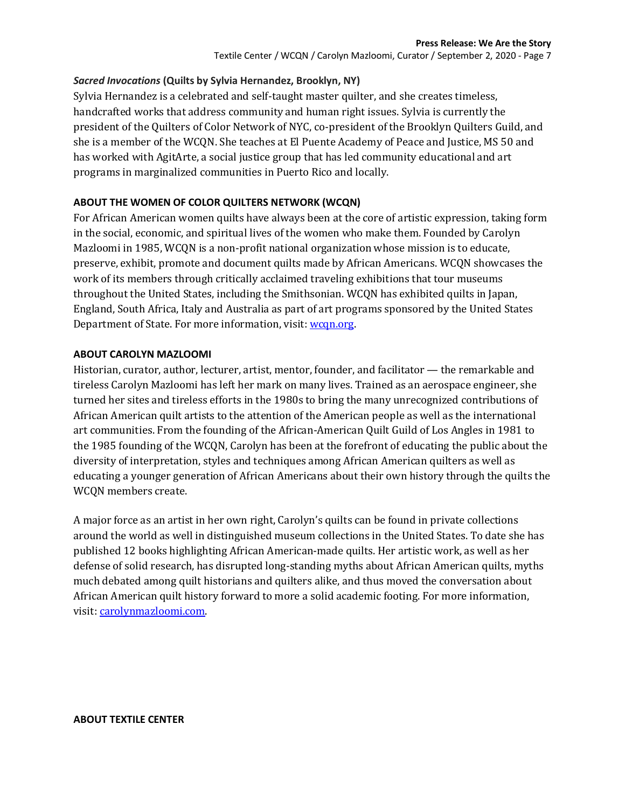Textile Center / WCQN / Carolyn Mazloomi, Curator / September 2, 2020 - Page 7

### *Sacred Invocations* **(Quilts by Sylvia Hernandez, Brooklyn, NY)**

Sylvia Hernandez is a celebrated and self-taught master quilter, and she creates timeless, handcrafted works that address community and human right issues. Sylvia is currently the president of the Quilters of Color Network of NYC, co-president of the Brooklyn Quilters Guild, and she is a member of the WCQN. She teaches at El Puente Academy of Peace and Justice, MS 50 and has worked with AgitArte, a social justice group that has led community educational and art programs in marginalized communities in Puerto Rico and locally.

### **ABOUT THE WOMEN OF COLOR QUILTERS NETWORK (WCQN)**

For African American women quilts have always been at the core of artistic expression, taking form in the social, economic, and spiritual lives of the women who make them. Founded by Carolyn Mazloomi in 1985, WCQN is a non-profit national organization whose mission is to educate, preserve, exhibit, promote and document quilts made by African Americans. WCQN showcases the work of its members through critically acclaimed traveling exhibitions that tour museums throughout the United States, including the Smithsonian. WCQN has exhibited quilts in Japan, England, South Africa, Italy and Australia as part of art programs sponsored by the United States Department of State. For more information, visit: wcqn.org.

#### **ABOUT CAROLYN MAZLOOMI**

Historian, curator, author, lecturer, artist, mentor, founder, and facilitator — the remarkable and tireless Carolyn Mazloomi has left her mark on many lives. Trained as an aerospace engineer, she turned her sites and tireless efforts in the 1980s to bring the many unrecognized contributions of African American quilt artists to the attention of the American people as well as the international art communities. From the founding of the African-American Quilt Guild of Los Angles in 1981 to the 1985 founding of the WCQN, Carolyn has been at the forefront of educating the public about the diversity of interpretation, styles and techniques among African American quilters as well as educating a younger generation of African Americans about their own history through the quilts the WCQN members create.

A major force as an artist in her own right, Carolyn's quilts can be found in private collections around the world as well in distinguished museum collections in the United States. To date she has published 12 books highlighting African American-made quilts. Her artistic work, as well as her defense of solid research, has disrupted long-standing myths about African American quilts, myths much debated among quilt historians and quilters alike, and thus moved the conversation about African American quilt history forward to more a solid academic footing. For more information, visit: carolynmazloomi.com.

#### **ABOUT TEXTILE CENTER**